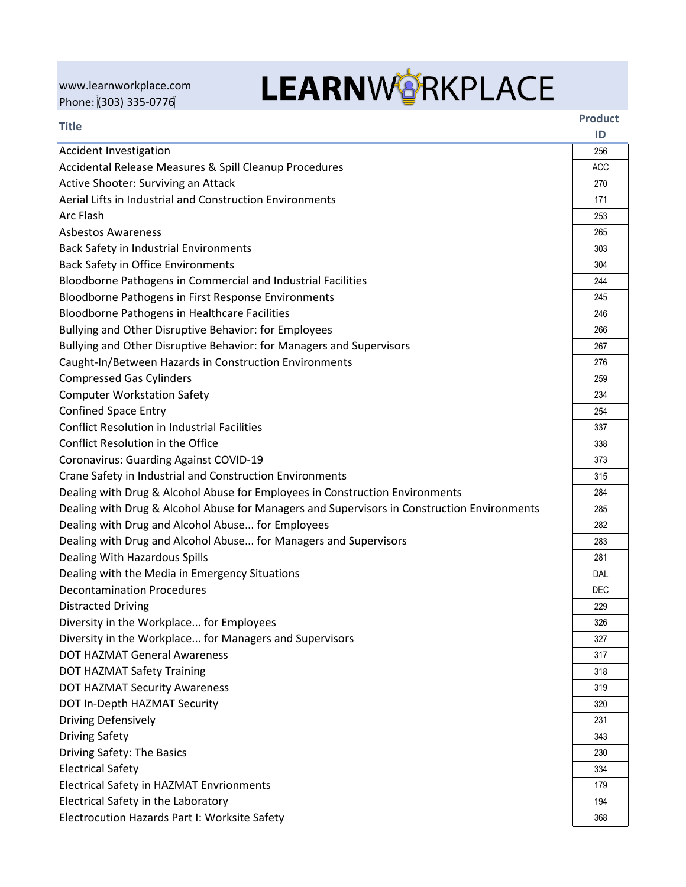[www.learnworkplace.com](http://www.learnworkplace.com/) Phone: (303) 335-0776

## **LEARNWORKPLACE**

| <b>Title</b>                                                                                |            |
|---------------------------------------------------------------------------------------------|------------|
|                                                                                             |            |
| Accidental Release Measures & Spill Cleanup Procedures                                      | <b>ACC</b> |
| Active Shooter: Surviving an Attack                                                         | 270        |
| Aerial Lifts in Industrial and Construction Environments                                    | 171        |
| Arc Flash                                                                                   | 253        |
| <b>Asbestos Awareness</b>                                                                   | 265        |
| Back Safety in Industrial Environments                                                      | 303        |
| <b>Back Safety in Office Environments</b>                                                   | 304        |
| Bloodborne Pathogens in Commercial and Industrial Facilities                                | 244        |
| Bloodborne Pathogens in First Response Environments                                         | 245        |
| <b>Bloodborne Pathogens in Healthcare Facilities</b>                                        | 246        |
| Bullying and Other Disruptive Behavior: for Employees                                       | 266        |
| Bullying and Other Disruptive Behavior: for Managers and Supervisors                        | 267        |
| Caught-In/Between Hazards in Construction Environments                                      | 276        |
| <b>Compressed Gas Cylinders</b>                                                             | 259        |
| <b>Computer Workstation Safety</b>                                                          | 234        |
| <b>Confined Space Entry</b>                                                                 | 254        |
| <b>Conflict Resolution in Industrial Facilities</b>                                         | 337        |
| Conflict Resolution in the Office                                                           | 338        |
| <b>Coronavirus: Guarding Against COVID-19</b>                                               | 373        |
| Crane Safety in Industrial and Construction Environments                                    | 315        |
| Dealing with Drug & Alcohol Abuse for Employees in Construction Environments                | 284        |
| Dealing with Drug & Alcohol Abuse for Managers and Supervisors in Construction Environments | 285        |
| Dealing with Drug and Alcohol Abuse for Employees                                           | 282        |
| Dealing with Drug and Alcohol Abuse for Managers and Supervisors                            | 283        |
| Dealing With Hazardous Spills                                                               | 281        |
| Dealing with the Media in Emergency Situations                                              | DAL        |
| <b>Decontamination Procedures</b>                                                           | DEC        |
| <b>Distracted Driving</b>                                                                   | 229        |
| Diversity in the Workplace for Employees                                                    | 326        |
| Diversity in the Workplace for Managers and Supervisors                                     | 327        |
| <b>DOT HAZMAT General Awareness</b>                                                         | 317        |
| <b>DOT HAZMAT Safety Training</b>                                                           | 318        |
| <b>DOT HAZMAT Security Awareness</b>                                                        | 319        |
| DOT In-Depth HAZMAT Security                                                                | 320        |
| <b>Driving Defensively</b>                                                                  | 231        |
| <b>Driving Safety</b>                                                                       | 343        |
| Driving Safety: The Basics                                                                  | 230        |
| <b>Electrical Safety</b>                                                                    | 334        |
| Electrical Safety in HAZMAT Envrionments                                                    | 179        |
| Electrical Safety in the Laboratory                                                         | 194        |
| Electrocution Hazards Part I: Worksite Safety                                               | 368        |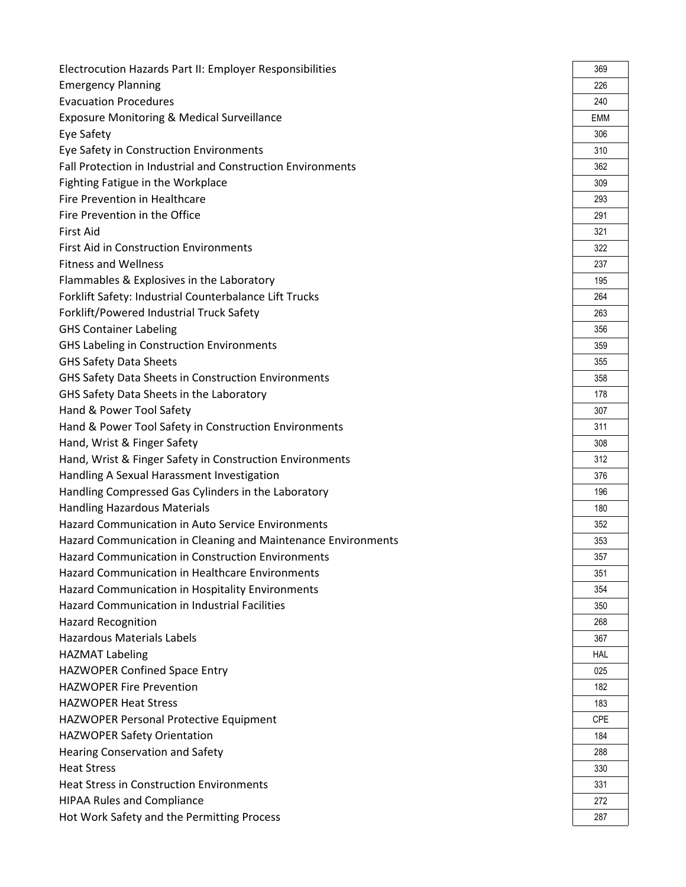| Electrocution Hazards Part II: Employer Responsibilities      | 369        |
|---------------------------------------------------------------|------------|
| <b>Emergency Planning</b>                                     | 226        |
| <b>Evacuation Procedures</b>                                  | 240        |
| <b>Exposure Monitoring &amp; Medical Surveillance</b>         | EMM        |
| Eye Safety                                                    | 306        |
| Eye Safety in Construction Environments                       | 310        |
| Fall Protection in Industrial and Construction Environments   | 362        |
| Fighting Fatigue in the Workplace                             | 309        |
| Fire Prevention in Healthcare                                 | 293        |
| Fire Prevention in the Office                                 | 291        |
| <b>First Aid</b>                                              | 321        |
| First Aid in Construction Environments                        | 322        |
| <b>Fitness and Wellness</b>                                   | 237        |
| Flammables & Explosives in the Laboratory                     | 195        |
| Forklift Safety: Industrial Counterbalance Lift Trucks        | 264        |
| Forklift/Powered Industrial Truck Safety                      | 263        |
| <b>GHS Container Labeling</b>                                 | 356        |
| <b>GHS Labeling in Construction Environments</b>              | 359        |
| <b>GHS Safety Data Sheets</b>                                 | 355        |
| GHS Safety Data Sheets in Construction Environments           | 358        |
| GHS Safety Data Sheets in the Laboratory                      | 178        |
| Hand & Power Tool Safety                                      | 307        |
| Hand & Power Tool Safety in Construction Environments         | 311        |
| Hand, Wrist & Finger Safety                                   | 308        |
| Hand, Wrist & Finger Safety in Construction Environments      | 312        |
| Handling A Sexual Harassment Investigation                    | 376        |
| Handling Compressed Gas Cylinders in the Laboratory           | 196        |
| <b>Handling Hazardous Materials</b>                           | 180        |
| <b>Hazard Communication in Auto Service Environments</b>      | 352        |
| Hazard Communication in Cleaning and Maintenance Environments | 353        |
| Hazard Communication in Construction Environments             | 357        |
| <b>Hazard Communication in Healthcare Environments</b>        | 351        |
| Hazard Communication in Hospitality Environments              | 354        |
| <b>Hazard Communication in Industrial Facilities</b>          | 350        |
| <b>Hazard Recognition</b>                                     | 268        |
| <b>Hazardous Materials Labels</b>                             | 367        |
| <b>HAZMAT Labeling</b>                                        | <b>HAL</b> |
| HAZWOPER Confined Space Entry                                 | 025        |
| <b>HAZWOPER Fire Prevention</b>                               | 182        |
| <b>HAZWOPER Heat Stress</b>                                   | 183        |
| HAZWOPER Personal Protective Equipment                        | <b>CPE</b> |
| <b>HAZWOPER Safety Orientation</b>                            | 184        |
| <b>Hearing Conservation and Safety</b>                        | 288        |
| <b>Heat Stress</b>                                            | 330        |
| <b>Heat Stress in Construction Environments</b>               | 331        |
| <b>HIPAA Rules and Compliance</b>                             | 272        |
| Hot Work Safety and the Permitting Process                    | 287        |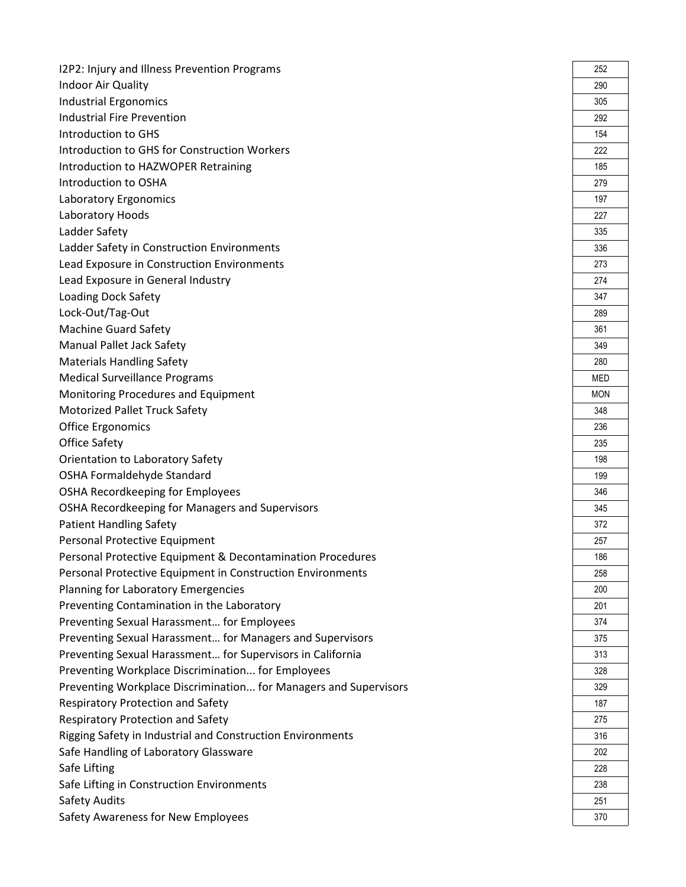| I2P2: Injury and Illness Prevention Programs                     | 252        |
|------------------------------------------------------------------|------------|
| Indoor Air Quality                                               | 290        |
| <b>Industrial Ergonomics</b>                                     | 305        |
| <b>Industrial Fire Prevention</b>                                | 292        |
| Introduction to GHS                                              | 154        |
| Introduction to GHS for Construction Workers                     | 222        |
| Introduction to HAZWOPER Retraining                              | 185        |
| Introduction to OSHA                                             | 279        |
| Laboratory Ergonomics                                            | 197        |
| Laboratory Hoods                                                 | 227        |
| Ladder Safety                                                    | 335        |
| Ladder Safety in Construction Environments                       | 336        |
| Lead Exposure in Construction Environments                       | 273        |
| Lead Exposure in General Industry                                | 274        |
| <b>Loading Dock Safety</b>                                       | 347        |
| Lock-Out/Tag-Out                                                 | 289        |
| <b>Machine Guard Safety</b>                                      | 361        |
| Manual Pallet Jack Safety                                        | 349        |
| <b>Materials Handling Safety</b>                                 | 280        |
| <b>Medical Surveillance Programs</b>                             | <b>MED</b> |
| Monitoring Procedures and Equipment                              | <b>MON</b> |
| Motorized Pallet Truck Safety                                    | 348        |
| <b>Office Ergonomics</b>                                         | 236        |
| <b>Office Safety</b>                                             | 235        |
| Orientation to Laboratory Safety                                 | 198        |
| OSHA Formaldehyde Standard                                       | 199        |
| OSHA Recordkeeping for Employees                                 | 346        |
| OSHA Recordkeeping for Managers and Supervisors                  | 345        |
| <b>Patient Handling Safety</b>                                   | 372        |
| Personal Protective Equipment                                    | 257        |
| Personal Protective Equipment & Decontamination Procedures       | 186        |
| Personal Protective Equipment in Construction Environments       | 258        |
| Planning for Laboratory Emergencies                              | 200        |
| Preventing Contamination in the Laboratory                       | 201        |
| Preventing Sexual Harassment for Employees                       | 374        |
| Preventing Sexual Harassment for Managers and Supervisors        | 375        |
| Preventing Sexual Harassment for Supervisors in California       | 313        |
| Preventing Workplace Discrimination for Employees                | 328        |
| Preventing Workplace Discrimination for Managers and Supervisors | 329        |
| <b>Respiratory Protection and Safety</b>                         | 187        |
| <b>Respiratory Protection and Safety</b>                         | 275        |
| Rigging Safety in Industrial and Construction Environments       | 316        |
| Safe Handling of Laboratory Glassware                            | 202        |
| Safe Lifting                                                     | 228        |
| Safe Lifting in Construction Environments                        | 238        |
| Safety Audits                                                    | 251        |
| Safety Awareness for New Employees                               | 370        |

| 252        |
|------------|
| 290        |
| 305        |
| 292        |
| 154        |
| 222        |
| 185        |
| 279        |
| 197        |
| 227        |
| 335        |
| 336        |
| 273        |
| 274        |
| 347        |
| 289        |
| 361        |
| 349        |
| 280        |
| MED        |
| <b>MON</b> |
| 348        |
| 236        |
| 235        |
| 198        |
| 199        |
| 346        |
| 345        |
| 372        |
| 257        |
| 186        |
| 258        |
| 200        |
| 201        |
| 374        |
| 375        |
| 313        |
| 328        |
| 329        |
| 187        |
| 275        |
| 316        |
| 202        |
| 228        |
| 238        |
| 251        |
| 370        |
|            |